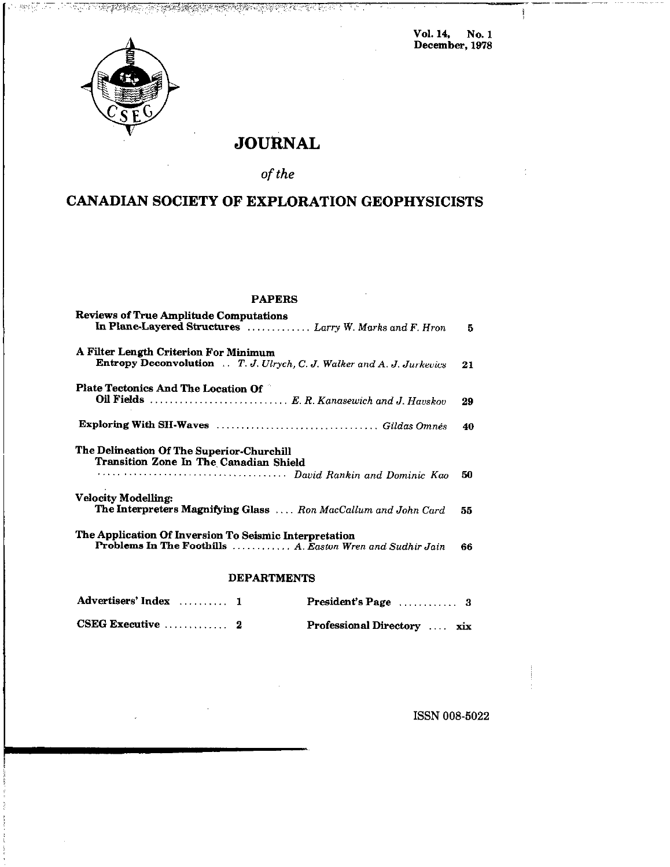Vol. 14, No. 1 December, 1979

 $\frac{1}{2}$ 



्राज्य

認定し

# JOURNAL

<u>TA POSTAL TA LA STATE DE COMPANYA DE LA CALLA DELL</u>

## of the

# CANADIAN SOCIETY OF EXPLORATION GEOPHYSICISTS

### PAPERS

| <b>Reviews of True Amplitude Computations</b><br>In Plane-Layered Structures  Larry W. Marks and F. Hron            | 5. |
|---------------------------------------------------------------------------------------------------------------------|----|
| A Filter Length Criterion For Minimum<br>Entropy Deconvolution  T. J. Ulrych, C. J. Walker and A. J. Jurkevics      | 21 |
| Plate Tectonics And The Location Of                                                                                 | 29 |
|                                                                                                                     | 40 |
| The Delineation Of The Superior-Churchill<br>Transition Zone In The Canadian Shield                                 | 50 |
| <b>Velocity Modelling:</b><br>The Interpreters Magnifying Glass  Ron MacCallum and John Card                        | 55 |
| The Application Of Inversion To Seismic Interpretation<br>Problems In The Foothills  A. Easton Wren and Sudhir Jain | 66 |

### DEPARTMENTS

| Advertisers' Index  1                   |                             |  |
|-----------------------------------------|-----------------------------|--|
| CSEG Executive $\ldots \ldots \ldots 2$ | Professional Directory  xix |  |

ISSN 008-5022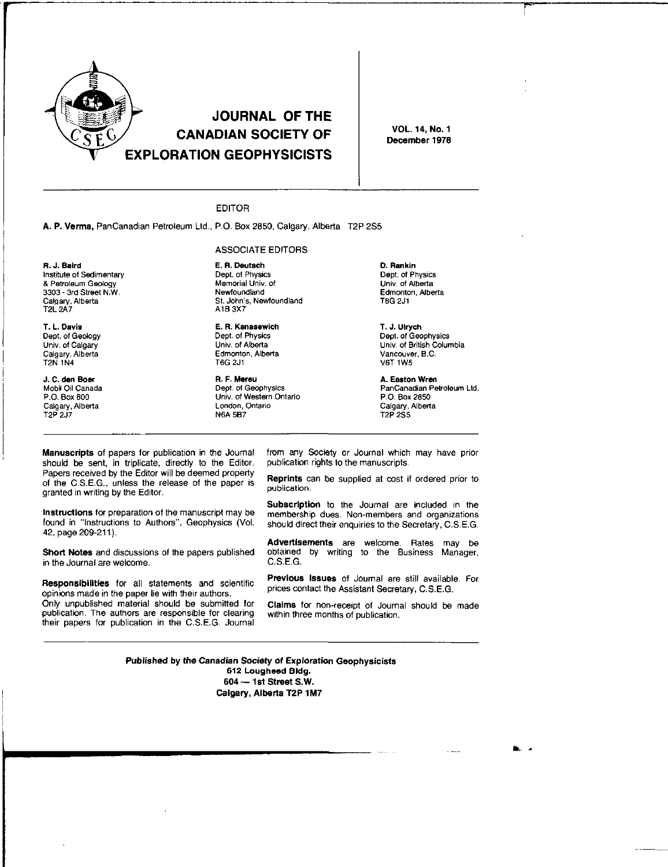

# **JOURNAL OF THE CANADIAN SOCIETY OF EXPLORATION GEOPHYSICISTS**

**VOL. 14, No. 1** December 1978

### **EDITOR**

A. P. Verma, PanCanadian Petroleum Ltd., P.O. Box 2850, Calgary, Alberta T2P 2S5

#### **ASSOCIATE EDITORS**

R. J. Baird Institute of Sedimentary & Petroleum Geology 3303 - 3rd Street N.W. Calgary, Alberta **T2L 2A7** 

T. L. Davis Dept. of Geology Univ. of Calgary Calgary, Alberta T2N 1N4

J. C. den Boer Mobil Oil Canada P.O. Box 800 Calgary, Alberta

E. R. Deutsch Dept. of Physics Memorial Univ. of Newfoundland St. John's, Newfoundland A1B 3X7

E. R. Kanasewich Dept. of Physics Univ. of Alberta Edmonton, Alberta T6G 2J1

R. F. Mereu Dept. of Geophysics Univ. of Western Ontario London, Ontario **N6A 5B7** 

D. Rankin Dept. of Physics Univ. of Alberta Edmonton, Alberta T6G 2J1

T. J. Ulrych Dept. of Geophysics Univ. of British Columbia Vancouver, B.C. **V6T 1W5** 

A. Easton Wren PanCanadian Petroleum Ltd. P.O. Box 2850 Calgary, Alberta

Manuscripts of papers for publication in the Journal should be sent, in triplicate, directly to the Editor. Papers received by the Editor will be deemed property of the C.S.E.G., unless the release of the paper is granted in writing by the Editor.

Instructions for preparation of the manuscript may be found in "Instructions to Authors", Geophysics (Vol. 42, page 209-211).

Short Notes and discussions of the papers published in the Journal are welcome.

Responsibilities for all statements and scientific opinions made in the paper lie with their authors. Only unpublished material should be submitted for publication. The authors are responsible for clearing their papers for publication in the C.S.E.G. Journal from any Society or Journal which may have prior publication rights to the manuscripts.

Reprints can be supplied at cost if ordered prior to publication.

Subscription to the Journal are included in the membership dues. Non-members and organizations should direct their enquiries to the Secretary, C.S.E.G.

Advertisements are welcome. Rates may be obtained by writing to the Business Manager, C.S.E.G.

Previous Issues of Journal are still available. For prices contact the Assistant Secretary, C.S.E.G.

Claims for non-receipt of Journal should be made within three months of publication.

Published by the Canadian Society of Exploration Geophysicists 612 Lougheed Bldg. 604 - 1st Street S.W. Calgary, Alberta T2P 1M7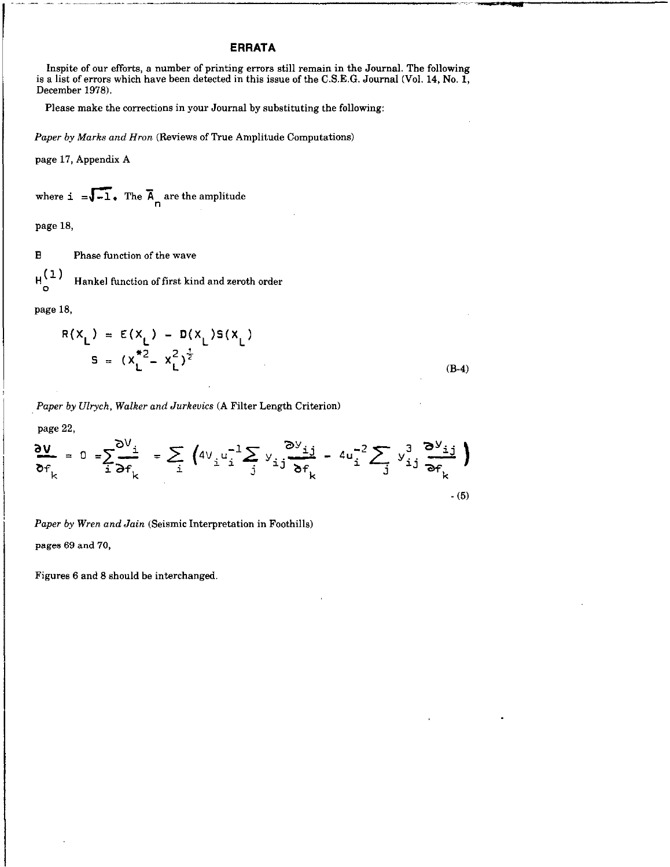### ERRATA

Inspite of our efforts, a number of printing errors still remain in the Journal. The following is a list of errors which have been detected in this issue of the C.S.E.G. Journal (Vol. 14, No. 1, December 1976).

Please make the corrections in your Journal by substituting the following:

Paper by Marks and Hron (Reviews of True Amplitude Computations)

page 17, Appendix A

where 
$$
\mathbf{i} = \sqrt{-1}
$$
. The  $\overline{A}_{n}$  are the amplitude

page 18,

B Phase function of the wave

 $H_{\odot}^{(1)}$  Hankel function of first kind and zeroth order

page 18.

$$
R(X_L) = E(X_L) - D(X_L)S(X_L)
$$
  

$$
S = (X_L^{*2} - X_L^2)^{\frac{1}{2}}
$$
 (B-4)

Paper by Ulrych, Walker and Jurkeuics (A Filter Length Criterion)

page 22,

$$
\frac{\partial v}{\partial f_k} = 0 = \sum_{i} \frac{\partial V_i}{\partial f_k} = \sum_{i} \left( 4V_i u_i^{-1} \sum_{j} y_{ij} \frac{\partial V_{ij}}{\partial f_k} - 4u_i^{-2} \sum_{j} y_{ij}^3 \frac{\partial V_{ij}}{\partial f_k} \right)
$$

Paper by Wren and Jain (Seismic Interpretation in Foothills) pages 69 and 70,

Figures 6 and 8 should be interchanged.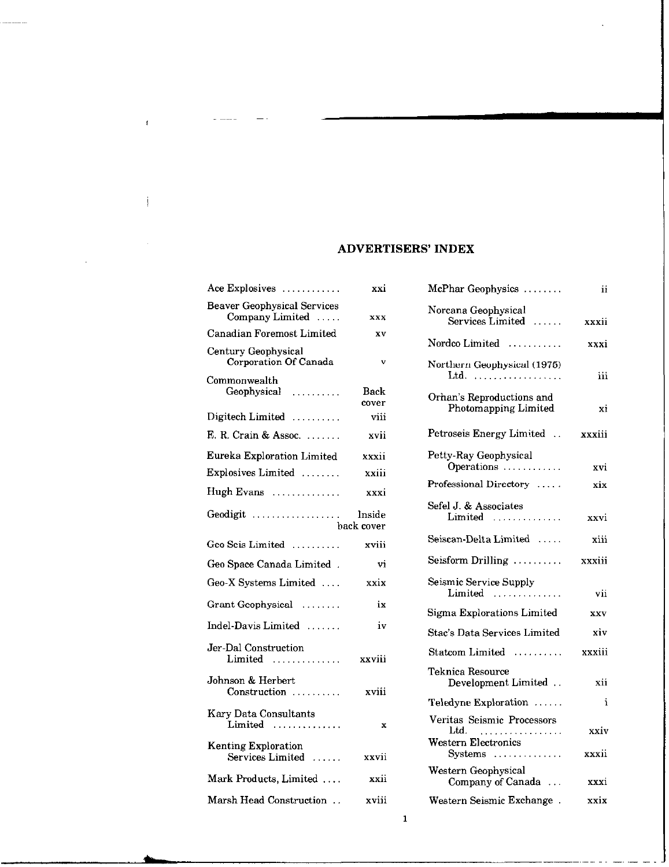## **ADVERTISERS' INDEX**

| Ace Explosives                                        | xxi                  |
|-------------------------------------------------------|----------------------|
| <b>Beaver Geophysical Services</b><br>Company Limited | <b>XXX</b>           |
| Canadian Foremost Limited                             | XV                   |
| Century Geophysical<br>Corporation Of Canada          | v                    |
| Commonwealth<br>Geophysical                           | Back<br>cover        |
| Digitech Limited $\ldots$                             | viii                 |
| E. R. Crain & Assoc.                                  | xvii                 |
| Eureka Exploration Limited                            | xxxii                |
| Explosives Limited                                    | xxiii                |
| Hugh Evans                                            | xxxi                 |
| Geodigit                                              | Inside<br>back cover |
| Geo Seis Limited                                      | xviii                |
| Geo Space Canada Limited.                             | vi                   |
| Geo-X Systems Limited                                 | xxix                 |
| Grant Geophysical                                     | ix                   |
| Indel-Davis Limited                                   | iv                   |
| Jer-Dal Construction<br>$Limited$                     | xxviii               |
| Johnson & Herbert<br>Construction                     | xviii                |
| Kary Data Consultants<br>Limited                      | X                    |
| <b>Kenting Exploration</b><br>Services Limited        | xxvii                |
| Mark Products, Limited                                | xxii                 |
| Marsh Head Construction                               | xviii                |

 $\bar{f}$ 

ţ

 $\sim$ 

| McPhar Geophysics                                                                                             | ij            |
|---------------------------------------------------------------------------------------------------------------|---------------|
| Norcana Geophysical<br>Services Limited  xxxii                                                                |               |
| Nordco Limited                                                                                                | xxxi          |
| Northern Geophysical (1975)                                                                                   | iii           |
| Orhan's Reproductions and<br>Photomapping Limited                                                             | хi            |
| Petroseis Energy Limited                                                                                      | xxxiii        |
| Petty-Ray Geophysical<br>Operations                                                                           | xvi           |
| Professional Directory                                                                                        | xix           |
| Sefel J. & Associates<br>$Limited$                                                                            | xxvi          |
| Seiscan-Delta Limited                                                                                         | xiii          |
| $S e is form Drilling  \dots$                                                                                 | xxxiii        |
| Seismic Service Supply<br>$Limited$                                                                           | vii           |
| Sigma Explorations Limited                                                                                    | <b>XXV</b>    |
| Stac's Data Services Limited                                                                                  | xiv           |
| Statcom Limited                                                                                               | xxxiii        |
| Teknica Resource<br>Development Limited                                                                       | xii           |
| Teledyne Exploration                                                                                          | i             |
| Veritas Seismic Processors<br>Ltd. $\ldots, \ldots, \ldots, \ldots, \ldots$<br>Western Electronics<br>Systems | xxiv<br>xxxii |
| Western Geophysical<br>Company of Canada                                                                      | xxxi          |
| Western Seismic Exchange.                                                                                     | xxix          |

 $\mathbf 1$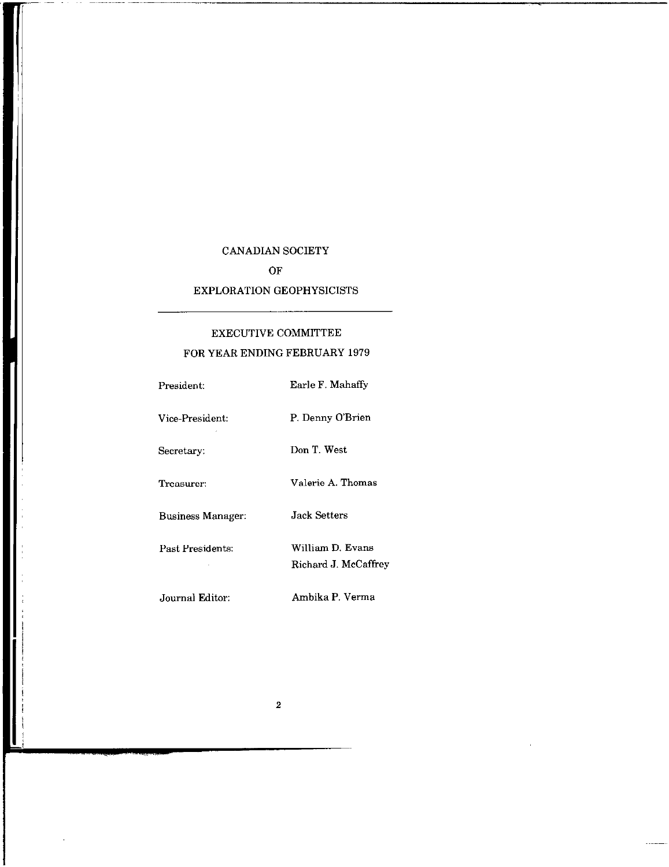## CANADIAN SOCIETY

OF

### EXPLORATION GEOPHYSICISTS

# EXECUTIVE COMMITTEE FOR YEAR ENDING FEBRUARY 1979

| President:               | Earle F. Mahaffy                         |
|--------------------------|------------------------------------------|
| Vice-President:          | P. Denny O'Brien                         |
| Secretary:               | Don T. West                              |
| Treasurer:               | Valerie A. Thomas                        |
| <b>Business Manager:</b> | Jack Setters.                            |
| Past Presidents:         | William D. Evans<br>Richard J. McCaffrey |
| Journal Editor:          | Ambika P. Verma                          |